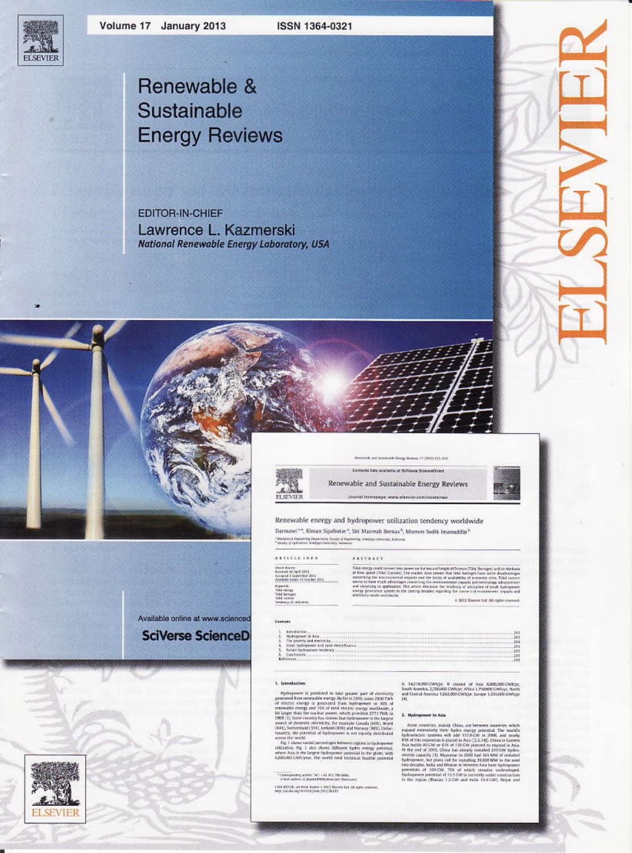**ELSEVIER** 

ISSN 1364-0321

# Renewable & Sustainable **Energy Reviews**

**EDITOR-IN-CHIEF** Lawrence L. Kazmerski **National Renewable Energy Laboratory, USA** 



Contents: tata available at SciVerse ScienceDirect Renewable and Sustainable Energy Reviews

Permane and locations the gy Brokers 17 (2019) 215-215

journal framepage: www.elseviar.com/locationair

212, 213, 213, 213, 213,

Renewable energy and hydropower utilization tendency worldwide Darmawi<sup>228</sup>, Riman Sipahutar<sup>3</sup>, Siti Masreah Bernas<sup>h</sup>, Momon Sodik Imanuddin<sup>31</sup>

\* Modernich Engineering Department, Forsidy of Engineering, Schafford University, Engine<br>\* Forsity of Astrochum Stradings Manufacture automobil

ASSTRACT

ARTICLE INFO Astade Bassey<br>Received 16 April 2012<br>Accepted 5 September 2012<br>Anadelie seller 21 October 2012

 $\overline{0}$  data over provide means that provides the basis of degree of the Samuel and Go that the speed (this cluster). The mainly have absent that this having the modern contribution of contribution of the speed of the co

# 2012 Dispone Ltd. All rights

Available online at www.scienced **SciVerse ScienceD** 



#### 1. Introduction

Controls

materials in profiles<br>of its tida gramm part of electrony gramm and of electrony gramm and one<br>can be consider energy of probability from a proposition of the system<br>consider energy of probability from a proposition of th

 $\begin{array}{l} \textbf{h} \textbf{t} \textbf{m} \textbf{d} \textbf{m} \textbf{t} \textbf{m} \\ \textbf{Hydropener} \textbf{W} \textbf{A} \textbf{m} \\ \textbf{N} \textbf{r} \textbf{m} \textbf{m} \textbf{r} \textbf{m} \textbf{m} \textbf{r} \textbf{m} \\ \textbf{M} \textbf{r} \textbf{m} \textbf{m} \textbf{r} \textbf{m} \textbf{m} \textbf{r} \textbf{m} \textbf{m} \textbf{r} \textbf{m} \textbf{r} \textbf{m} \\ \text$ 

\*Computing solve: 541 - 62 112 768 6886.<br>Pierr aldric d. kays HDP/Aca ron (Daniau)

 $1.954$  KC2+CS, see front impact  $\approx 1002$  Harvier tail. All rights presents, they construct to the Lag can  $200.208010$ 

 $\alpha$  14,118,200 (см/м)у).  $\mathbb R$  -consist of Asia 6,000,000 (см/м)у, South Assets 2,700,000 (объру, Africa 1,750,000 (м/м)у), Assets 1,250,000 (м/м)у), 14,251,200 (м/м)у), 14,251,200 (м/м)у), 14,251,200 (м/м)у), 14,251,2

#### 2. Hydropenew in Asia

a uparameter is solid. Once, are between construct with the<br>same construct of the solid property of the solid between the solid between<br>the system of the solid between the solid between the state of<br>the system of the soli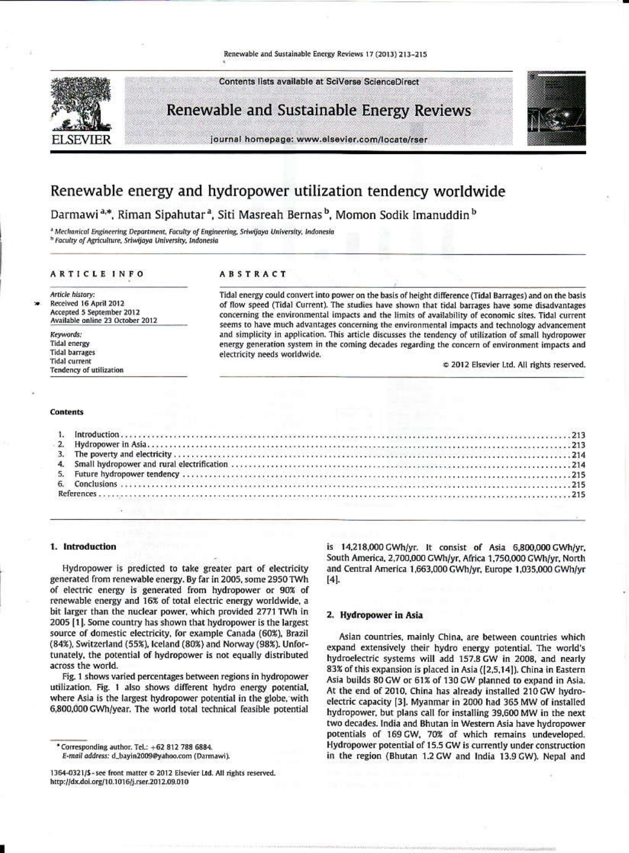# Renewable and Sustainable Energy Reviews 17 (2013) 213-215

Contents lists available at SciVerse ScienceDirect



Renewable and Sustainable Energy Reviews



# Renewable energy and hydropower utilization tendency worldwide

Darmawi<sup>a,\*</sup>, Riman Sipahutar<sup>a</sup>, Siti Masreah Bernas<sup>b</sup>, Momon Sodik Imanuddin<sup>b</sup>

<sup>3</sup> Mechanical Engineering Department, Faculty of Engineering, Sriwijaya University, Indonesia <sup>b</sup> Faculty of Agriculture, Sriwijaya University, Indonesia

#### **ARTICLE INFO**

Article history: Received 16 April 2012 Accepted 5 September 2012 Available online 23 October 2012

Keywords: **Tidal energy Tidal barrages Tidal** current **Tendency of utilization** 

## ABSTRACT

Tidal energy could convert into power on the basis of height difference (Tidal Barrages) and on the basis of flow speed (Tidal Current). The studies have shown that tidal barrages have some disadvantages concerning the environmental impacts and the limits of availability of economic sites. Tidal current seems to have much advantages concerning the environmental impacts and technology advancement and simplicity in application. This article discusses the tendency of utilization of small hydropower energy generation system in the coming decades regarding the concern of environment impacts and electricity needs worldwide.

2012 Elsevier Ltd. All rights reserved.

### Contents

### 1. Introduction

Hydropower is predicted to take greater part of electricity generated from renewable energy. By far in 2005, some 2950 TWh of electric energy is generated from hydropower or 90% of renewable energy and 16% of total electric energy worldwide, a bit larger than the nuclear power, which provided 2771 TWh in 2005 [1]. Some country has shown that hydropower is the largest source of domestic electricity, for example Canada (60%), Brazil (84%), Switzerland (55%), Iceland (80%) and Norway (98%). Unfortunately, the potential of hydropower is not equally distributed across the world.

Fig. 1 shows varied percentages between regions in hydropower utilization. Fig. 1 also shows different hydro energy potential, where Asia is the largest hydropower potential in the globe, with 6,800,000 GWh/year. The world total technical feasible potential

E-mail address: d\_bayin2009@yahoo.com (Darmawi).

is 14,218,000 GWh/yr. It consist of Asia 6,800,000 GWh/yr. South America, 2,700,000 GWh/yr, Africa 1,750,000 GWh/yr, North and Central America 1,663,000 GWh/yr, Europe 1,035,000 GWh/yr  $[4]$ .

# 2. Hydropower in Asia

Asian countries, mainly China, are between countries which expand extensively their hydro energy potential. The world's hydroelectric systems will add 157.8 GW in 2008, and nearly 83% of this expansion is placed in Asia ([2,5,14]). China in Eastern Asia builds 80 GW or 61% of 130 GW planned to expand in Asia. At the end of 2010, China has already installed 210 GW hydroelectric capacity [3]. Myanmar in 2000 had 365 MW of installed hydropower, but plans call for installing 39,600 MW in the next two decades. India and Bhutan in Western Asia have hydropower potentials of 169 GW, 70% of which remains undeveloped. Hydropower potential of 15.5 GW is currently under construction in the region (Bhutan 1.2 GW and India 13.9 GW). Nepal and

<sup>\*</sup> Corresponding author. Tel.: +62 812 788 6884.

<sup>1364-0321/5-</sup>see front matter  $\in$  2012 Elsevier Ltd. All rights reserved. http://dx.doi.org/10.1016/j.rser.2012.09.010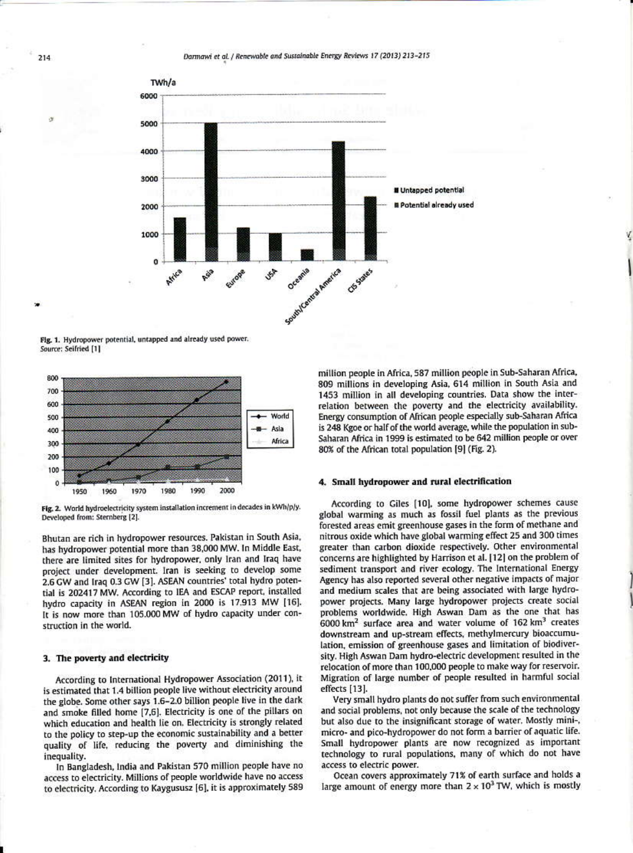Darmawi et al. / Renewable and Sustainable Energy Reviews 17 (2013) 213-215



Fig. 1. Hydropower potential, untapped and already used power. Source: Seifried [1]



Fig. 2. World hydroelectricity system installation increment in decades in kWh/p/y. Developed from: Sternberg [2].

Bhutan are rich in hydropower resources. Pakistan in South Asia, has hydropower potential more than 38,000 MW. In Middle East, there are limited sites for hydropower, only Iran and Iraq have project under development. Iran is seeking to develop some 2.6 GW and Iraq 0.3 GW [3]. ASEAN countries' total hydro potential is 202417 MW. According to IEA and ESCAP report, installed hydro capacity in ASEAN region in 2000 is 17.913 MW [16]. It is now more than 105.000 MW of hydro capacity under construction in the world.

## 3. The poverty and electricity

According to International Hydropower Association (2011), it is estimated that 1.4 billion people live without electricity around the globe. Some other says 1.6-2.0 billion people live in the dark and smoke filled home [7,6]. Electricity is one of the pillars on which education and health lie on. Electricity is strongly related to the policy to step-up the economic sustainability and a better quality of life, reducing the poverty and diminishing the inequality.

In Bangladesh, India and Pakistan 570 million people have no access to electricity. Millions of people worldwide have no access to electricity. According to Kaygususz [6], it is approximately 589 million people in Africa, 587 million people in Sub-Saharan Africa, 809 millions in developing Asia, 614 million in South Asia and 1453 million in all developing countries. Data show the interrelation between the poverty and the electricity availability. Energy consumption of African people especially sub-Saharan Africa is 248 Kgoe or half of the world average, while the population in sub-Saharan Africa in 1999 is estimated to be 642 million people or over 80% of the African total population [9] (Fig. 2).

#### 4. Small hydropower and rural electrification

According to Giles [10], some hydropower schemes cause global warming as much as fossil fuel plants as the previous forested areas emit greenhouse gases in the form of methane and nitrous oxide which have global warming effect 25 and 300 times greater than carbon dioxide respectively. Other environmental concerns are highlighted by Harrison et al. [12] on the problem of sediment transport and river ecology. The International Energy Agency has also reported several other negative impacts of major and medium scales that are being associated with large hydropower projects. Many large hydropower projects create social problems worldwide. High Aswan Dam as the one that has  $6000$  km<sup>2</sup> surface area and water volume of 162 km<sup>3</sup> creates downstream and up-stream effects, methylmercury bioaccumulation, emission of greenhouse gases and limitation of biodiversity. High Aswan Dam hydro-electric development resulted in the relocation of more than 100,000 people to make way for reservoir. Migration of large number of people resulted in harmful social effects [13].

Very small hydro plants do not suffer from such environmental and social problems, not only because the scale of the technology but also due to the insignificant storage of water. Mostly mini-, micro- and pico-hydropower do not form a barrier of aquatic life. Small hydropower plants are now recognized as important technology to rural populations, many of which do not have access to electric power.

Ocean covers approximately 71% of earth surface and holds a large amount of energy more than  $2 \times 10^3$  TW, which is mostly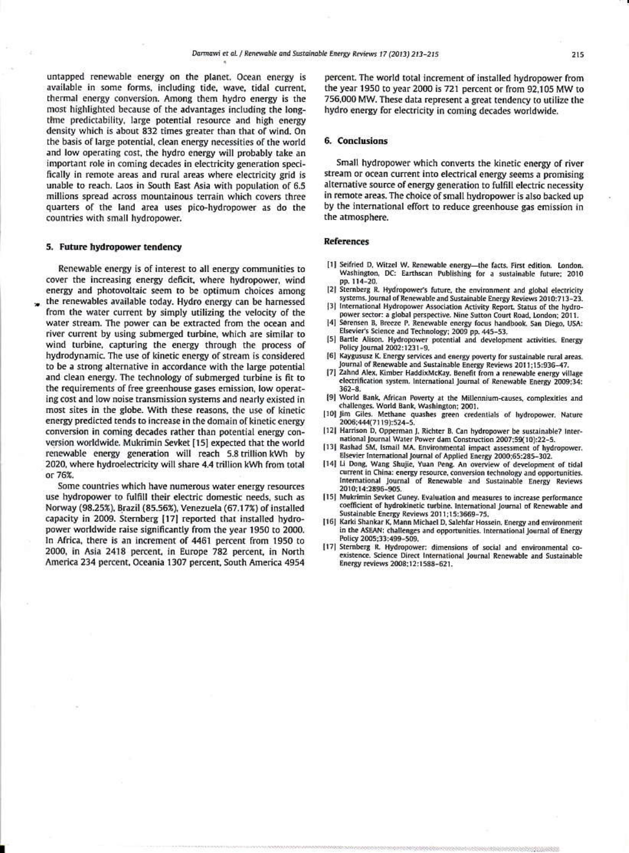untapped renewable energy on the planet. Ocean energy is available in some forms, including tide, wave, tidal current, thermal energy conversion. Among them hydro energy is the most highlighted because of the advantages including the longtime predictability, large potential resource and high energy density which is about 832 times greater than that of wind. On the basis of large potential, clean energy necessities of the world and low operating cost, the hydro energy will probably take an important role in coming decades in electricity generation specifically in remote areas and rural areas where electricity grid is unable to reach. Laos in South East Asia with population of 6.5 millions spread across mountainous terrain which covers three quarters of the land area uses pico-hydropower as do the countries with small hydropower.

### 5. Future hydropower tendency

Renewable energy is of interest to all energy communities to cover the increasing energy deficit, where hydropower, wind energy and photovoltaic seem to be optimum choices among the renewables available today. Hydro energy can be harnessed from the water current by simply utilizing the velocity of the water stream. The power can be extracted from the ocean and river current by using submerged turbine, which are similar to wind turbine, capturing the energy through the process of hydrodynamic. The use of kinetic energy of stream is considered to be a strong alternative in accordance with the large potential and clean energy. The technology of submerged turbine is fit to the requirements of free greenhouse gases emission, low operating cost and low noise transmission systems and nearly existed in most sites in the globe. With these reasons, the use of kinetic energy predicted tends to increase in the domain of kinetic energy conversion in coming decades rather than potential energy conversion worldwide. Mukrimin Sevket [15] expected that the world renewable energy generation will reach 5.8 trillion kWh by 2020, where hydroelectricity will share 4.4 trillion kWh from total or 76%

Some countries which have numerous water energy resources use hydropower to fulfill their electric domestic needs, such as Norway (98.25%), Brazil (85.56%), Venezuela (67.17%) of installed capacity in 2009. Sternberg [17] reported that installed hydropower worldwide raise significantly from the year 1950 to 2000. In Africa, there is an increment of 4461 percent from 1950 to 2000, in Asia 2418 percent, in Europe 782 percent, in North America 234 percent, Oceania 1307 percent, South America 4954

percent. The world total increment of installed hydropower from the year 1950 to year 2000 is 721 percent or from 92,105 MW to 756,000 MW. These data represent a great tendency to utilize the hydro energy for electricity in coming decades worldwide.

#### 6. Conclusions

Small hydropower which converts the kinetic energy of river stream or ocean current into electrical energy seems a promising alternative source of energy generation to fulfill electric necessity in remote areas. The choice of small hydropower is also backed up by the international effort to reduce greenhouse gas emission in the atmosphere.

### **References**

- [1] Seifried D, Witzel W. Renewable energy-the facts. First edition. London. Washington, DC: Earthscan Publishing for a sustainable future: 2010 pp. 114-20.
- [2] Sternberg R. Hydropower's future, the environment and global electricity systems. Journal of Renewable and Sustainable Energy Reviews 2010:713-23.
- [3] International Hydropower Association Activity Report. Status of the hydropower sector: a global perspective. Nine Sutton Court Road, London; 2011.
- [4] Sørensen B, Breeze P. Renewable energy focus handbook. San Diego, USA: Elsevier's Science and Technology; 2009 pp. 445-53.
- [5] Bartle Alison. Hydropower potential and development activities. Energy Policy Journal 2002:1231-9.
- [6] Kaygususz K. Energy services and energy poverty for sustainable rural areas. Journal of Renewable and Sustainable Energy Reviews 2011;15:936-47.
- [7] Zahnd Alex, Kimber HaddixMcKay, Benefit from a renewable energy village electrification system. International Journal of Renewable Energy 2009;34:  $362 - 8$
- [9] World Bank, African Poverty at the Millennium-causes, complexities and challenges. World Bank, Washington; 2001.
- [10] Jim Giles. Methane quashes green credentials of hydropower. Nature 2006:444(7119):524-5.
- [12] Harrison D, Opperman J, Richter B. Can hydropower be sustainable? International Journal Water Power dam Construction 2007;59(10):22-5.
- [13] Rashad SM, Ismail MA. Environmental impact assessment of hydropower. Elsevier International Journal of Applied Energy 2000;65:285-302.
- [14] Li Dong, Wang Shujie, Yuan Peng. An overview of development of tidal current in China: energy resource, conversion technology and opportunities. International Journal of Renewable and Sustainable Energy Reviews 2010;14:2896-905.
- [15] Mukrimin Sevket Guney. Evaluation and measures to increase performance coefficient of hydrokinetic turbine. International Journal of Renewable and Sustainable Energy Reviews 2011;15:3669-75.
- [16] Karki Shankar K, Mann Michael D, Salehfar Hossein. Energy and environment in the ASEAN: challenges and opportunities. International Journal of Energy Policy 2005:33:499-509.
- [17] Sternberg R. Hydropower: dimensions of social and environmental coexistence. Science Direct International Journal Renewable and Sustainable Energy reviews 2008;12:1588-621.